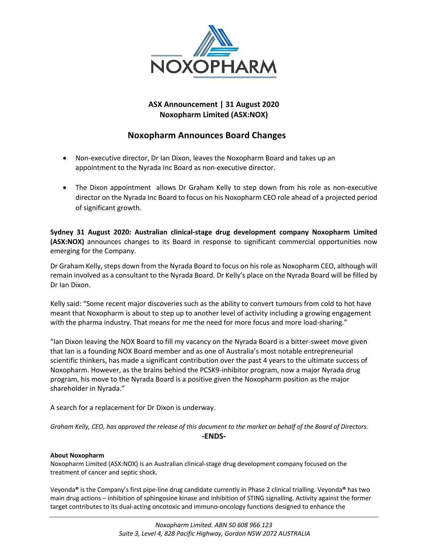

## **ASX Announcement | 31 August 2020 Noxopharm Limited (ASX:NOX)**

## **Noxopharm Announces Board Changes**

- Non-executive director, Dr Ian Dixon, leaves the Noxopharm Board and takes up an appointment to the Nyrada Inc Board as non-executive director.
- The Dixon appointment allows Dr Graham Kelly to step down from his role as non-executive director on the Nyrada Inc Board to focus on his Noxopharm CEO role ahead of a projected period of significant growth.

**Sydney 31 August 2020: Australian clinical-stage drug development company Noxopharm Limited (ASX:NOX)** announces changes to its Board in response to significant commercial opportunities now emerging for the Company.

Dr Graham Kelly, steps down from the Nyrada Board to focus on his role as Noxopharm CEO, although will remain involved as a consultant to the Nyrada Board. Dr Kelly's place on the Nyrada Board will be filled by Dr Ian Dixon.

Kelly said: "Some recent major discoveries such as the ability to convert tumours from cold to hot have meant that Noxopharm is about to step up to another level of activity including a growing engagement with the pharma industry. That means for me the need for more focus and more load-sharing."

"Ian Dixon leaving the NOX Board to fill my vacancy on the Nyrada Board is a bitter-sweet move given that Ian is a founding NOX Board member and as one of Australia's most notable entrepreneurial scientific thinkers, has made a significant contribution over the past 4 years to the ultimate success of Noxopharm. However, as the brains behind the PCSK9-inhibitor program, now a major Nyrada drug program, his move to the Nyrada Board is a positive given the Noxopharm position as the major shareholder in Nyrada."

A search for a replacement for Dr Dixon is underway.

*Graham Kelly, CEO, has approved the release of this document to the market on behalf of the Board of Directors.* **-ENDS-**

## **About Noxopharm**

Noxopharm Limited (ASX:NOX) is an Australian clinical-stage drug development company focused on the treatment of cancer and septic shock.

Veyonda**®** is the Company's first pipe-line drug candidate currently in Phase 2 clinical trialling. Veyonda**®** has two main drug actions – inhibition of sphingosine kinase and inhibition of STING signalling. Activity against the former target contributes to its dual-acting oncotoxic and immuno-oncology functions designed to enhance the